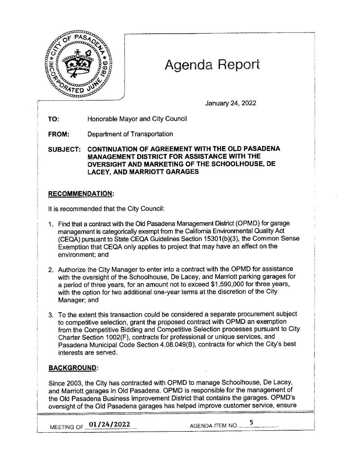

# Agenda Report

January 24, 2022

**TO:** Honorable Mayor and City Council

**FROM:** Department of Transportation

**SUBJECT: CONTINUATION OF AGREEMENT WITH THE OLD PASADENA MANAGEMENT DISTRICT FOR ASSISTANCE WITH THE OVERSIGHT AND MARKETING OF THE SCHOOLHOUSE, DE LACEY, AND MARRIOTT GARAGES** 

## **RECOMMENDATION:**

It is recommended that the City Council:

- 1. Find that a contract with the Old Pasadena Management District (OPMD) for garage management is categorically exempt from the California Environmental Quality Act (CEQA) pursuant to State CEQA Guidelines Section 15301 (b)(3), the Common Sense Exemption that CEQA only applies to project that may have an effect on the environment; and
- 2. Authorize the City Manager to enter into a contract with the OPMD for assistance with the oversight of the Schoolhouse, De Lacey, and Marriott parking garages for a period of three years, for an amount not to exceed \$1,590,000 for three years, with the option for two additional one-year terms at the discretion of the City Manager; and
- 3. To the extent this transaction could be considered a separate procurement subject to competitive selection, grant the proposed contract with OPMD an exemption from the Competitive Bidding and Competitive Selection processes pursuant to City Charter Section 1002(F), contracts for professional or unique services, and Pasadena Municipal Code Section 4.08.049(B), contracts for which the City's best interests are served.

## **BACKGROUND:**

Since 2003, the City has contracted with OPMD to manage Schoolhouse, De Lacey, and Marriott garages in Old Pasadena. OPMD is responsible for the management of the Old Pasadena Business Improvement District that contains the garages. OPMD's oversight of the Old Pasadena garages has helped improve customer service, ensure

**MEETING OF 01/24/2022 AGENDA ITEM NO. 5**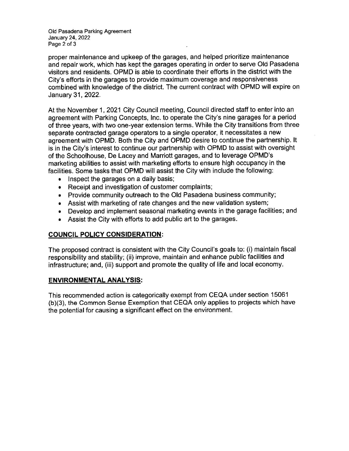Old Pasadena Parking Agreement January 24, 2022 Page 2 of 3

proper maintenance and upkeep of the garages, and helped prioritize maintenance and repair work, which has kept the garages operating in order to serve Old Pasadena visitors and residents. OPMD is able to coordinate their efforts in the district with the City's efforts in the garages to provide maximum coverage and responsiveness combined with knowledge of the district. The current contract with OPMD will expire on January 31, 2022.

At the November 1, 2021 City Council meeting, Council directed staff to enter into an agreement with Parking Concepts, Inc. to operate the City's nine garages for a period of three years, with two one-year extension terms. While the City transitions from three separate contracted garage operators to a single operator, it necessitates a new agreement with OPMD. Both the City and OPMD desire to continue the partnership. It is in the City's interest to continue our partnership with OPMD to assist with oversight of the Schoolhouse, De Lacey and Marriott garages, and to leverage OPMD's marketing abilities to assist with marketing efforts to ensure high occupancy in the facilities. Some tasks that OPMD will assist the City with include the following:

- Inspect the garages on a daily basis;
- Receipt and investigation of customer complaints;
- Provide community outreach to the Old Pasadena business community;
- Assist with marketing of rate changes and the new validation system;
- Develop and implement seasonal marketing events in the garage facilities; and
- Assist the City with efforts to add public art to the garages.

### **COUNCIL POLICY CONSIDERATION:**

The proposed contract is consistent with the City Council's goals to: (i) maintain fiscal responsibility and stability; (ii) improve, maintain and enhance public facilities and infrastructure; and, (iii) support and promote the quality of life and local economy.

#### **ENVIRONMENTAL ANALYSIS:**

This recommended action is categorically exempt from CEQA under section 15061 (b)(3), the Common Sense Exemption that CEQA only applies to projects which have the potential for causing a significant effect on the environment.